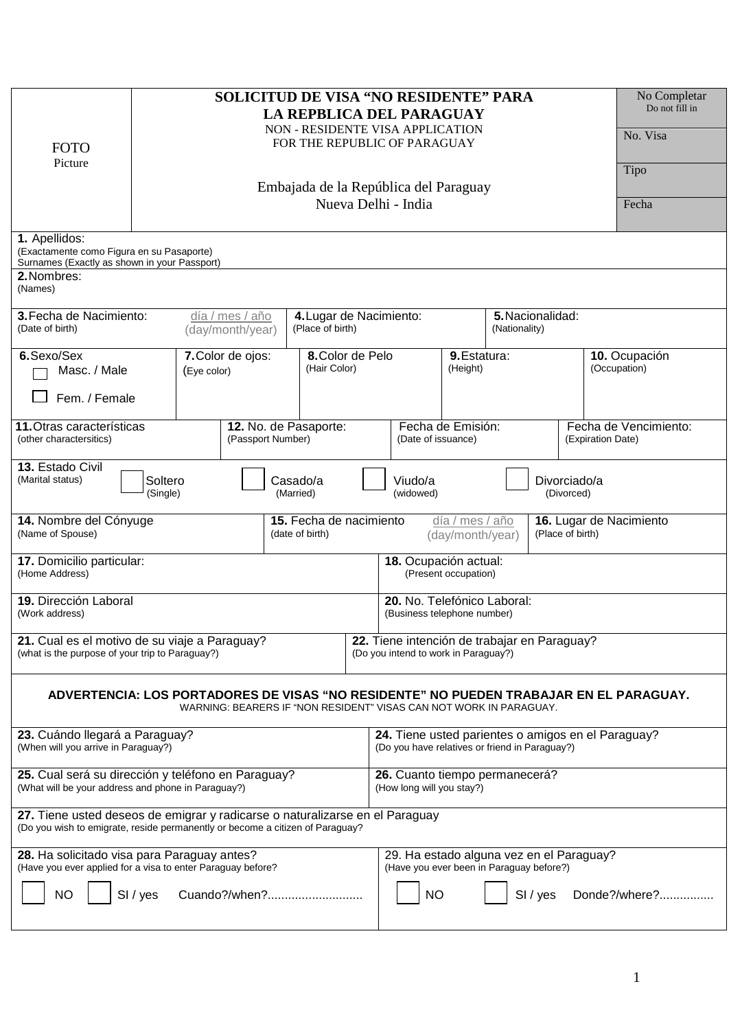| No Completar<br><b>SOLICITUD DE VISA "NO RESIDENTE" PARA</b><br>Do not fill in<br>LA REPBLICA DEL PARAGUAY<br>NON - RESIDENTE VISA APPLICATION<br>No. Visa<br>FOR THE REPUBLIC OF PARAGUAY<br><b>FOTO</b><br>Picture<br>Tipo<br>Embajada de la República del Paraguay<br>Nueva Delhi - India<br>Fecha<br>1. Apellidos:<br>(Exactamente como Figura en su Pasaporte)<br>Surnames (Exactly as shown in your Passport)<br>2. Nombres:<br>(Names) |                                                                                    |  |  |                                  |                                                                                                      |                                                                                      |  |          |                                            |               |  |
|-----------------------------------------------------------------------------------------------------------------------------------------------------------------------------------------------------------------------------------------------------------------------------------------------------------------------------------------------------------------------------------------------------------------------------------------------|------------------------------------------------------------------------------------|--|--|----------------------------------|------------------------------------------------------------------------------------------------------|--------------------------------------------------------------------------------------|--|----------|--------------------------------------------|---------------|--|
| 3. Fecha de Nacimiento:<br>(Date of birth)                                                                                                                                                                                                                                                                                                                                                                                                    | 4. Lugar de Nacimiento:<br>día / mes / año<br>(Place of birth)<br>(day/month/year) |  |  |                                  |                                                                                                      | 5. Nacionalidad:<br>(Nationality)                                                    |  |          |                                            |               |  |
| 6. Sexo/Sex<br>Masc. / Male<br>Fem. / Female                                                                                                                                                                                                                                                                                                                                                                                                  | 7. Color de ojos:<br>(Eye color)                                                   |  |  | 8. Color de Pelo<br>(Hair Color) |                                                                                                      | 9. Estatura:<br>(Height)                                                             |  |          | 10. Ocupación<br>(Occupation)              |               |  |
| 11. Otras características<br>(other charactersitics)                                                                                                                                                                                                                                                                                                                                                                                          | (Passport Number)                                                                  |  |  | 12. No. de Pasaporte:            |                                                                                                      | Fecha de Emisión:<br>(Date of issuance)                                              |  |          | Fecha de Vencimiento:<br>(Expiration Date) |               |  |
| 13. Estado Civil<br>(Marital status)<br>Viudo/a<br>Soltero<br>Casado/a<br>Divorciado/a<br>(Single)<br>(Married)<br>(widowed)<br>(Divorced)                                                                                                                                                                                                                                                                                                    |                                                                                    |  |  |                                  |                                                                                                      |                                                                                      |  |          |                                            |               |  |
| 14. Nombre del Cónyuge<br>15. Fecha de nacimiento<br>día / mes / año<br>16. Lugar de Nacimiento<br>(Name of Spouse)<br>(Place of birth)<br>(date of birth)<br>(day/month/year)                                                                                                                                                                                                                                                                |                                                                                    |  |  |                                  |                                                                                                      |                                                                                      |  |          |                                            |               |  |
| 18. Ocupación actual:<br>17. Domicilio particular:<br>(Present occupation)<br>(Home Address)                                                                                                                                                                                                                                                                                                                                                  |                                                                                    |  |  |                                  |                                                                                                      |                                                                                      |  |          |                                            |               |  |
| 19. Dirección Laboral<br>(Work address)                                                                                                                                                                                                                                                                                                                                                                                                       |                                                                                    |  |  |                                  | 20. No. Telefónico Laboral:<br>(Business telephone number)                                           |                                                                                      |  |          |                                            |               |  |
| 21. Cual es el motivo de su viaje a Paraguay?<br>(what is the purpose of your trip to Paraguay?)                                                                                                                                                                                                                                                                                                                                              |                                                                                    |  |  |                                  |                                                                                                      | 22. Tiene intención de trabajar en Paraguay?<br>(Do you intend to work in Paraguay?) |  |          |                                            |               |  |
| ADVERTENCIA: LOS PORTADORES DE VISAS "NO RESIDENTE" NO PUEDEN TRABAJAR EN EL PARAGUAY.<br>WARNING: BEARERS IF "NON RESIDENT" VISAS CAN NOT WORK IN PARAGUAY.                                                                                                                                                                                                                                                                                  |                                                                                    |  |  |                                  |                                                                                                      |                                                                                      |  |          |                                            |               |  |
| 23. Cuándo llegará a Paraguay?<br>(When will you arrive in Paraguay?)                                                                                                                                                                                                                                                                                                                                                                         |                                                                                    |  |  |                                  | 24. Tiene usted parientes o amigos en el Paraguay?<br>(Do you have relatives or friend in Paraguay?) |                                                                                      |  |          |                                            |               |  |
| 25. Cual será su dirección y teléfono en Paraguay?<br>(What will be your address and phone in Paraguay?)                                                                                                                                                                                                                                                                                                                                      |                                                                                    |  |  |                                  | 26. Cuanto tiempo permanecerá?<br>(How long will you stay?)                                          |                                                                                      |  |          |                                            |               |  |
| 27. Tiene usted deseos de emigrar y radicarse o naturalizarse en el Paraguay<br>(Do you wish to emigrate, reside permanently or become a citizen of Paraguay?                                                                                                                                                                                                                                                                                 |                                                                                    |  |  |                                  |                                                                                                      |                                                                                      |  |          |                                            |               |  |
| 28. Ha solicitado visa para Paraguay antes?<br>(Have you ever applied for a visa to enter Paraguay before?                                                                                                                                                                                                                                                                                                                                    |                                                                                    |  |  |                                  | 29. Ha estado alguna vez en el Paraguay?<br>(Have you ever been in Paraguay before?)                 |                                                                                      |  |          |                                            |               |  |
| Cuando?/when?<br><b>NO</b><br>SI / yes                                                                                                                                                                                                                                                                                                                                                                                                        |                                                                                    |  |  |                                  | <b>NO</b>                                                                                            |                                                                                      |  | SI / yes |                                            | Donde?/where? |  |